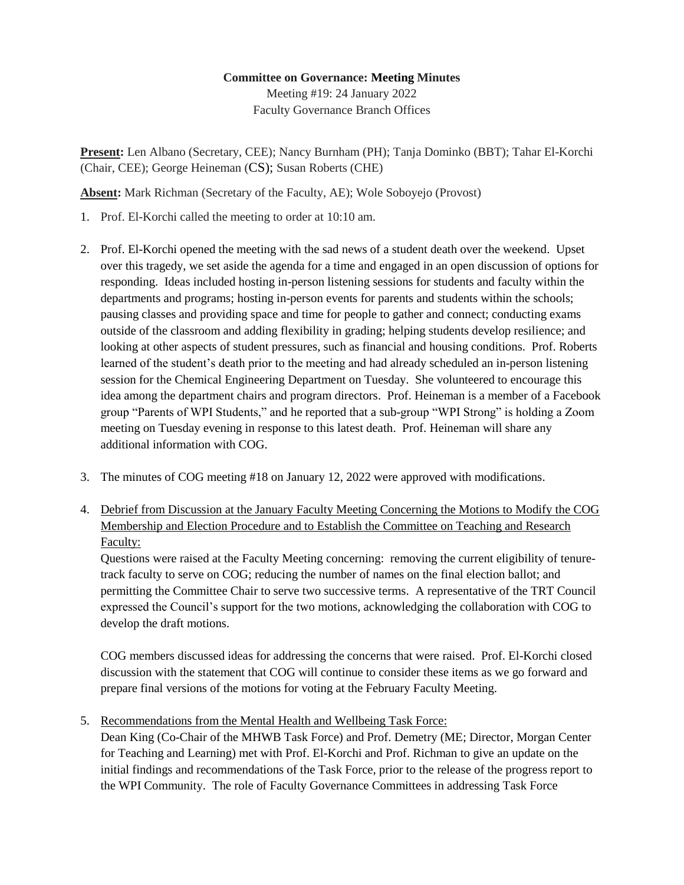## **Committee on Governance: Meeting Minutes** Meeting #19: 24 January 2022

Faculty Governance Branch Offices

**Present:** Len Albano (Secretary, CEE); Nancy Burnham (PH); Tanja Dominko (BBT); Tahar El-Korchi (Chair, CEE); George Heineman (CS); Susan Roberts (CHE)

**Absent:** Mark Richman (Secretary of the Faculty, AE); Wole Soboyejo (Provost)

- 1. Prof. El-Korchi called the meeting to order at 10:10 am.
- 2. Prof. El-Korchi opened the meeting with the sad news of a student death over the weekend. Upset over this tragedy, we set aside the agenda for a time and engaged in an open discussion of options for responding. Ideas included hosting in-person listening sessions for students and faculty within the departments and programs; hosting in-person events for parents and students within the schools; pausing classes and providing space and time for people to gather and connect; conducting exams outside of the classroom and adding flexibility in grading; helping students develop resilience; and looking at other aspects of student pressures, such as financial and housing conditions. Prof. Roberts learned of the student's death prior to the meeting and had already scheduled an in-person listening session for the Chemical Engineering Department on Tuesday. She volunteered to encourage this idea among the department chairs and program directors. Prof. Heineman is a member of a Facebook group "Parents of WPI Students," and he reported that a sub-group "WPI Strong" is holding a Zoom meeting on Tuesday evening in response to this latest death. Prof. Heineman will share any additional information with COG.
- 3. The minutes of COG meeting #18 on January 12, 2022 were approved with modifications.
- 4. Debrief from Discussion at the January Faculty Meeting Concerning the Motions to Modify the COG Membership and Election Procedure and to Establish the Committee on Teaching and Research Faculty:

Questions were raised at the Faculty Meeting concerning: removing the current eligibility of tenuretrack faculty to serve on COG; reducing the number of names on the final election ballot; and permitting the Committee Chair to serve two successive terms. A representative of the TRT Council expressed the Council's support for the two motions, acknowledging the collaboration with COG to develop the draft motions.

COG members discussed ideas for addressing the concerns that were raised. Prof. El-Korchi closed discussion with the statement that COG will continue to consider these items as we go forward and prepare final versions of the motions for voting at the February Faculty Meeting.

5. Recommendations from the Mental Health and Wellbeing Task Force:

Dean King (Co-Chair of the MHWB Task Force) and Prof. Demetry (ME; Director, Morgan Center for Teaching and Learning) met with Prof. El-Korchi and Prof. Richman to give an update on the initial findings and recommendations of the Task Force, prior to the release of the progress report to the WPI Community. The role of Faculty Governance Committees in addressing Task Force